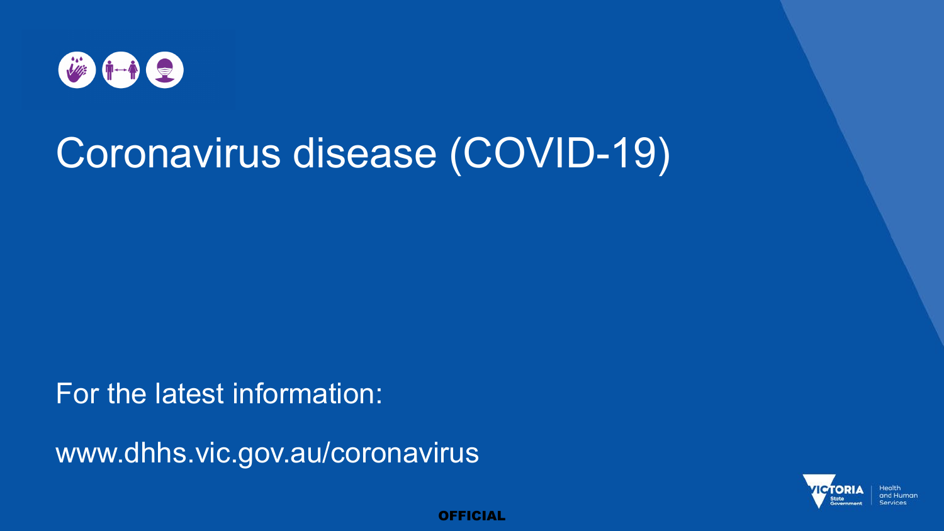

# Coronavirus disease (COVID-19)

For the latest information:

www.dhhs.vic.gov.au/coronavirus

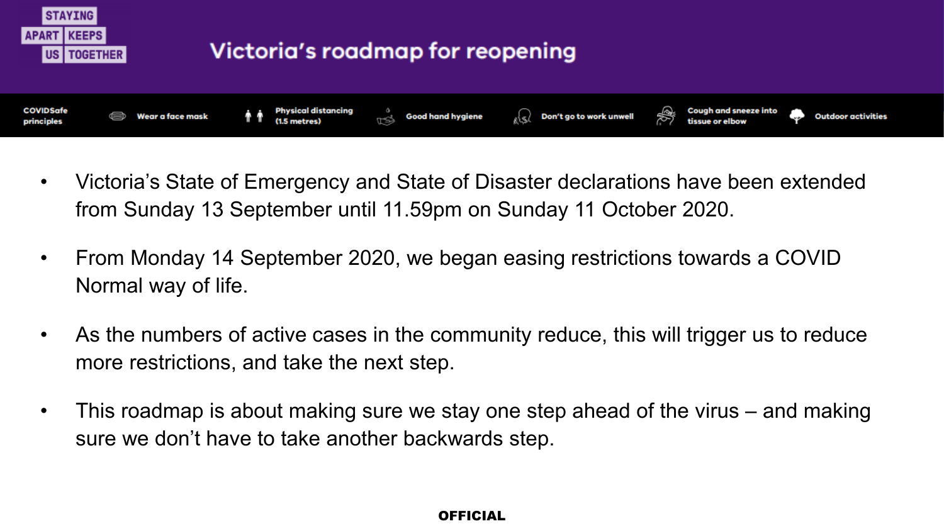

- Victoria's State of Emergency and State of Disaster declarations have been extended from Sunday 13 September until 11.59pm on Sunday 11 October 2020.
- From Monday 14 September 2020, we began easing restrictions towards a COVID Normal way of life.
- As the numbers of active cases in the community reduce, this will trigger us to reduce more restrictions, and take the next step.
- This roadmap is about making sure we stay one step ahead of the virus and making sure we don't have to take another backwards step.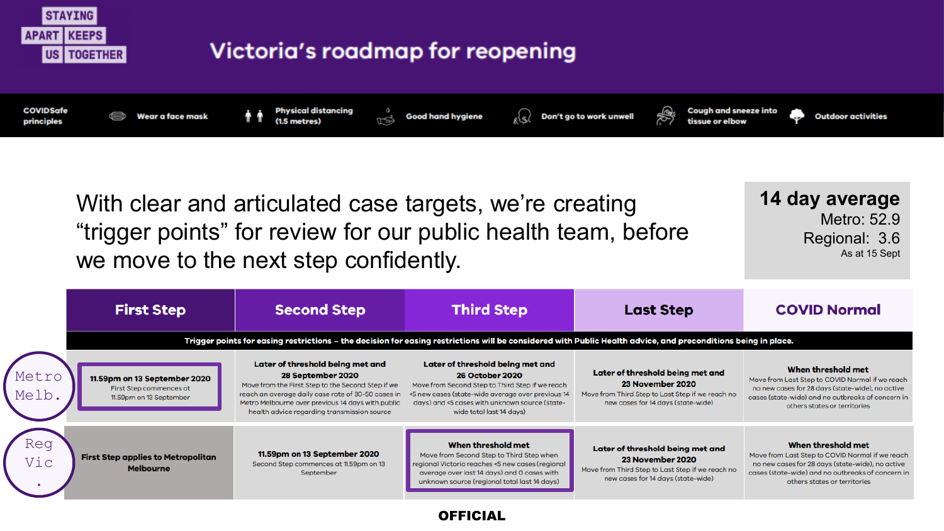

Move from Last Step to COVID Normal if we reach no new cases for 28 days (state-wide), no active Move from Third Step to Last Step if we reach no cases (state-wide) and no outbreaks of concern in others states or territories

23 November 2020

new cases for 14 days (state-wide)

**OFFICIAL** 

Move from Second Step to Third Step when

regional Victoria reaches <5 new cases (regional

average over last 14 days) and 0 cases with

unknown source (regional total last 14 days)

11.59pm on 13 September 2020

Second Step commences at 11.59pm on 13

September

Vic .

**First Step applies to Metropolitan** 

**Melbourne**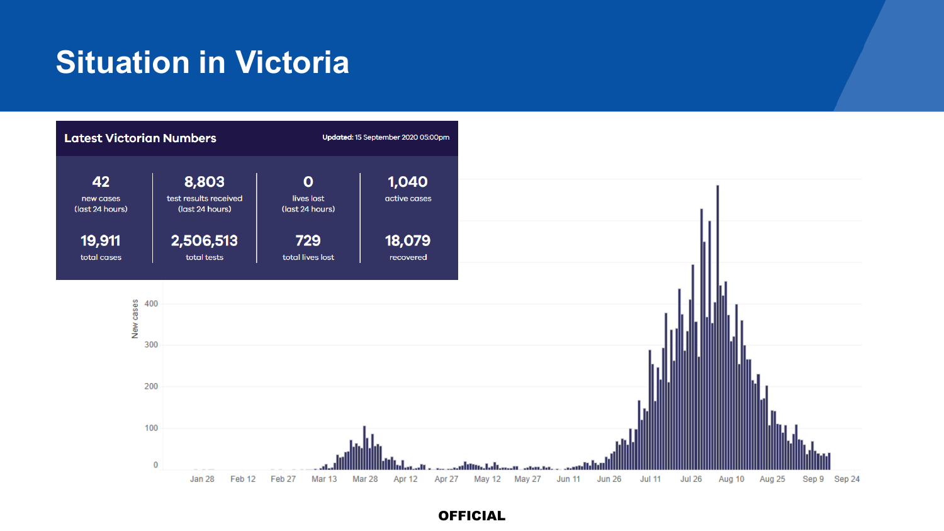## **Situation in Victoria**

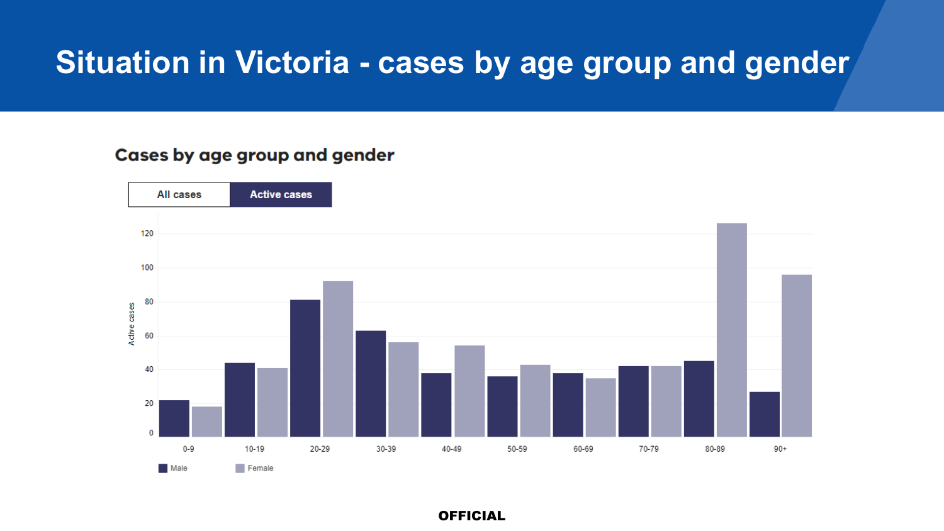### **Situation in Victoria - cases by age group and gender**

#### Cases by age group and gender

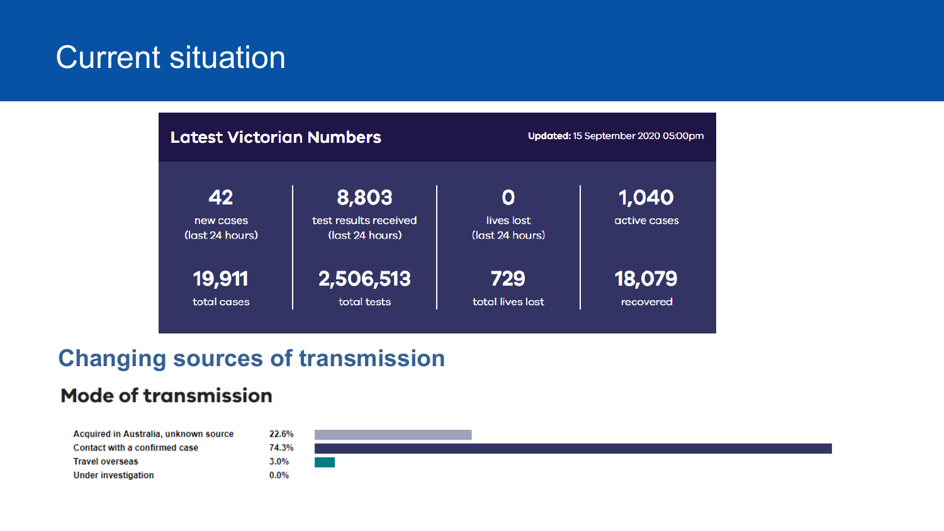### **Current situation**



### **Changing sources of transmission**

### **Mode of transmission**

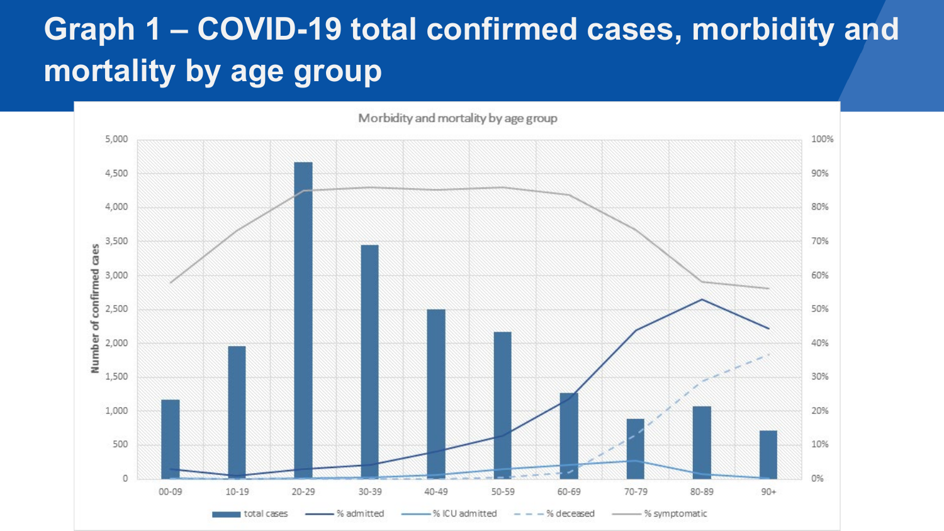## **Graph 1 – COVID-19 total confirmed cases, morbidity and mortality by age group**

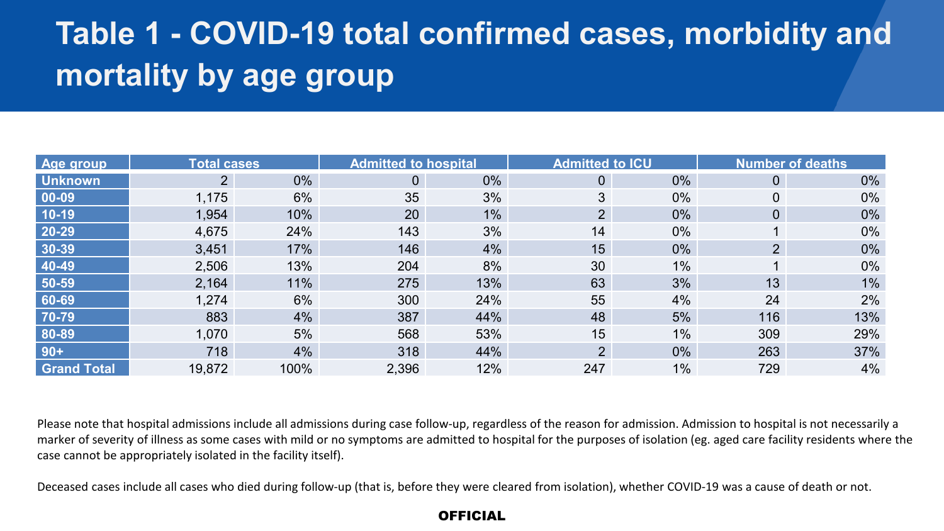## **Table 1 - COVID-19 total confirmed cases, morbidity and mortality by age group**

| Age group          | <b>Total cases</b> |       | <b>Admitted to hospital</b> |       | <b>Admitted to ICU</b> |       |                | <b>Number of deaths</b> |
|--------------------|--------------------|-------|-----------------------------|-------|------------------------|-------|----------------|-------------------------|
| <b>Unknown</b>     | $\overline{2}$     | $0\%$ | $\overline{0}$              | $0\%$ | 0                      | $0\%$ | $\mathbf{0}$   | $0\%$                   |
| 00-09              | 1,175              | 6%    | 35                          | 3%    | 3                      | 0%    |                | 0%                      |
| $10-19$            | 1,954              | 10%   | 20                          | $1\%$ | 2 <sup>1</sup>         | 0%    | 0              | 0%                      |
| $20 - 29$          | 4,675              | 24%   | 143                         | 3%    | 14                     | 0%    |                | $0\%$                   |
| 30-39              | 3,451              | 17%   | 146                         | 4%    | 15                     | 0%    | 2 <sup>1</sup> | 0%                      |
| 40-49              | 2,506              | 13%   | 204                         | 8%    | 30                     | 1%    |                | 0%                      |
| 50-59              | 2,164              | 11%   | 275                         | 13%   | 63                     | 3%    | 13             | $1\%$                   |
| 60-69              | 1,274              | 6%    | 300                         | 24%   | 55                     | 4%    | 24             | 2%                      |
| 70-79              | 883                | 4%    | 387                         | 44%   | 48                     | 5%    | 116            | 13%                     |
| 80-89              | 1,070              | 5%    | 568                         | 53%   | 15                     | 1%    | 309            | 29%                     |
| $90+$              | 718                | 4%    | 318                         | 44%   | $\overline{2}$         | $0\%$ | 263            | 37%                     |
| <b>Grand Total</b> | 19,872             | 100%  | 2,396                       | 12%   | 247                    | 1%    | 729            | 4%                      |

Please note that hospital admissions include all admissions during case follow-up, regardless of the reason for admission. Admission to hospital is not necessarily a marker of severity of illness as some cases with mild or no symptoms are admitted to hospital for the purposes of isolation (eg. aged care facility residents where the case cannot be appropriately isolated in the facility itself).

Deceased cases include all cases who died during follow-up (that is, before they were cleared from isolation), whether COVID-19 was a cause of death or not.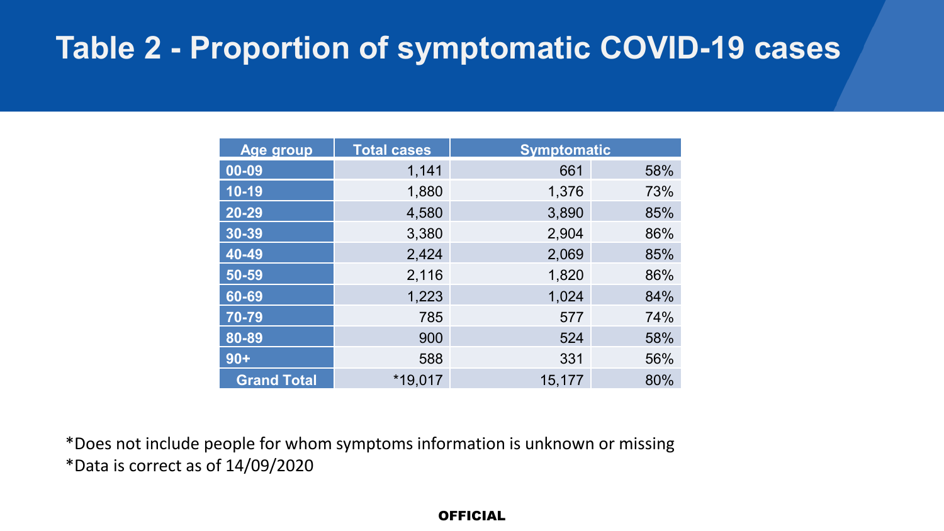## **Table 2 - Proportion of symptomatic COVID-19 cases**

| Age group          | <b>Total cases</b> | <b>Symptomatic</b> |     |
|--------------------|--------------------|--------------------|-----|
| 00-09              | 1,141              | 661                | 58% |
| $10-19$            | 1,880              | 1,376              | 73% |
| 20-29              | 4,580              | 3,890              | 85% |
| $30 - 39$          | 3,380              | 2,904              | 86% |
| $40 - 49$          | 2,424              | 2,069              | 85% |
| 50-59              | 2,116              | 1,820              | 86% |
| $60 - 69$          | 1,223              | 1,024              | 84% |
| $70 - 79$          | 785                | 577                | 74% |
| $80 - 89$          | 900                | 524                | 58% |
| $90+$              | 588                | 331                | 56% |
| <b>Grand Total</b> | *19.017            | 15,177             | 80% |

\*Does not include people for whom symptoms information is unknown or missing \*Data is correct as of 14/09/2020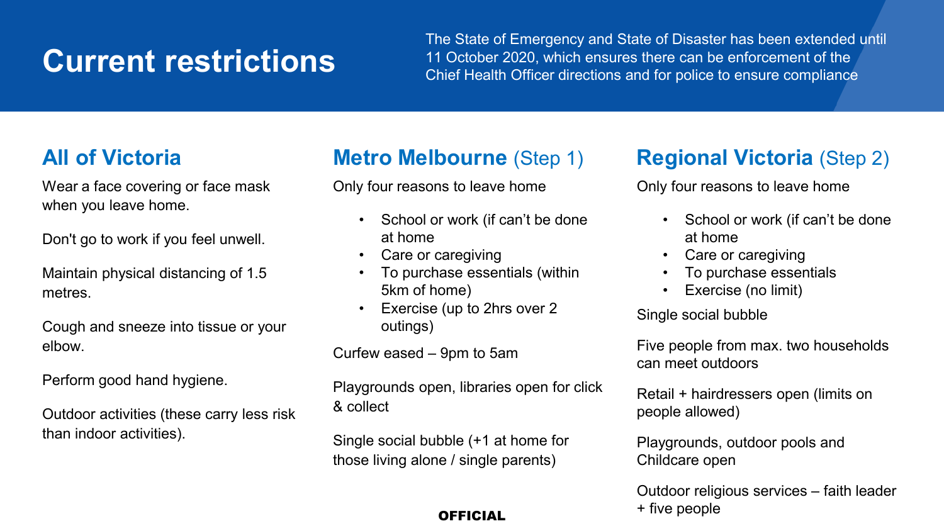## **Current restrictions**

The State of Emergency and State of Disaster has been extended until 11 October 2020, which ensures there can be enforcement of the Chief Health Officer directions and for police to ensure compliance

### **All of Victoria**

Wear a face covering or face mask when you leave home.

Don't go to work if you feel unwell.

Maintain physical distancing of 1.5 metres.

Cough and sneeze into tissue or your elbow.

Perform good hand hygiene.

Outdoor activities (these carry less risk than indoor activities).

### **Metro Melbourne** (Step 1)

Only four reasons to leave home

- School or work (if can't be done at home
- Care or caregiving
- To purchase essentials (within 5km of home)
- Exercise (up to 2hrs over 2 outings)

Curfew eased – 9pm to 5am

Playgrounds open, libraries open for click & collect

Single social bubble (+1 at home for those living alone / single parents)

#### **OFFICIAL**

### **Regional Victoria** (Step 2)

Only four reasons to leave home

- School or work (if can't be done at home
- Care or caregiving
- To purchase essentials
- Exercise (no limit)

Single social bubble

Five people from max. two households can meet outdoors

Retail + hairdressers open (limits on people allowed)

Playgrounds, outdoor pools and Childcare open

Outdoor religious services – faith leader + five people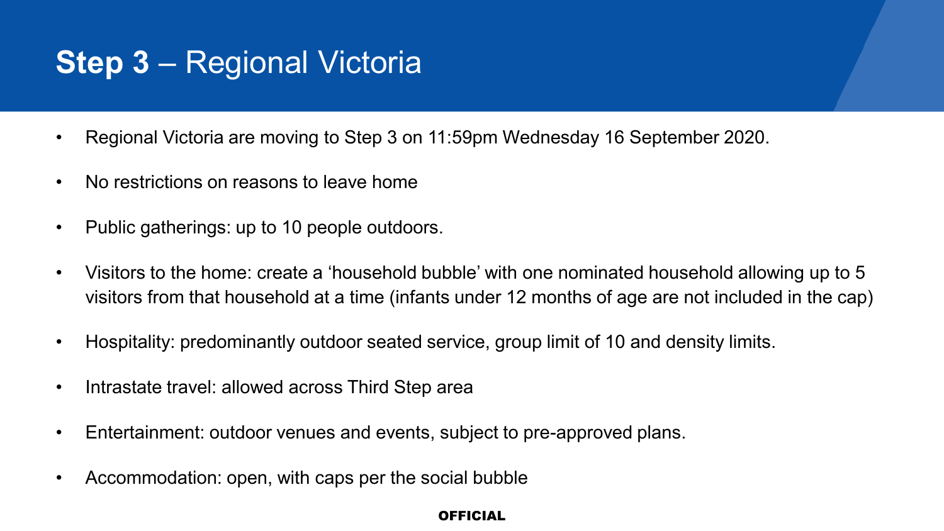## **Step 3** – Regional Victoria

- Regional Victoria are moving to Step 3 on 11:59pm Wednesday 16 September 2020.
- No restrictions on reasons to leave home
- Public gatherings: up to 10 people outdoors.
- Visitors to the home: create a 'household bubble' with one nominated household allowing up to 5 visitors from that household at a time (infants under 12 months of age are not included in the cap)
- Hospitality: predominantly outdoor seated service, group limit of 10 and density limits.
- Intrastate travel: allowed across Third Step area
- Entertainment: outdoor venues and events, subject to pre-approved plans.
- Accommodation: open, with caps per the social bubble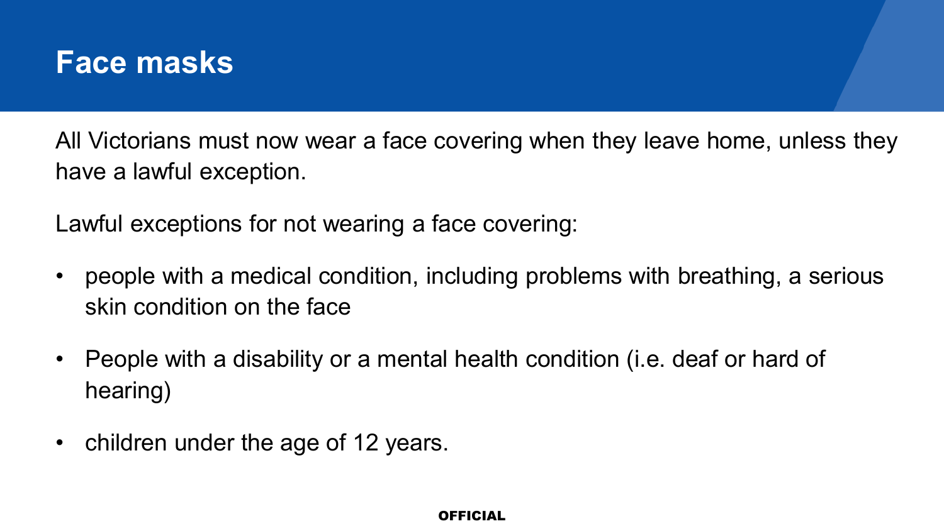

All Victorians must now wear a face covering when they leave home, unless they have a lawful exception.

Lawful exceptions for not wearing a face covering:

- people with a medical condition, including problems with breathing, a serious skin condition on the face
- People with a disability or a mental health condition (i.e. deaf or hard of hearing)
- children under the age of 12 years.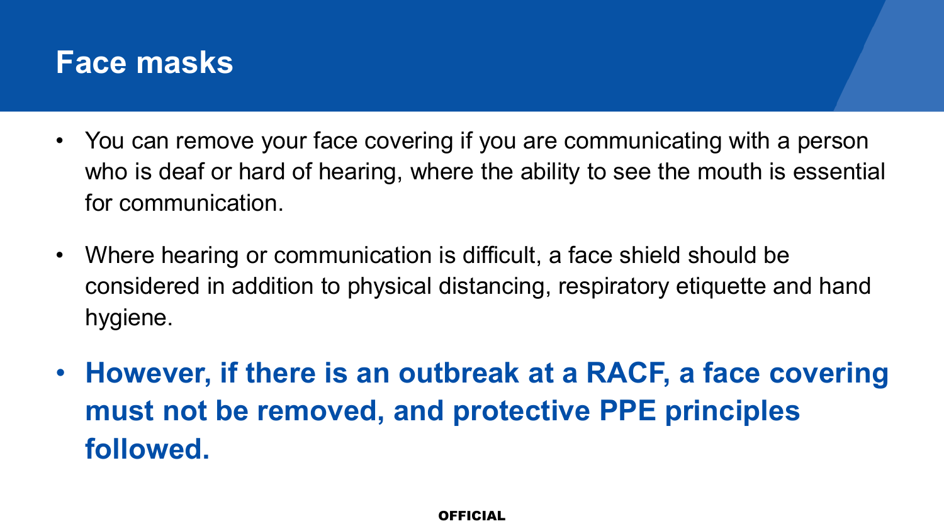### **Face masks**

- You can remove your face covering if you are communicating with a person who is deaf or hard of hearing, where the ability to see the mouth is essential for communication.
- Where hearing or communication is difficult, a face shield should be considered in addition to physical distancing, respiratory etiquette and hand hygiene.
- **However, if there is an outbreak at a RACF, a face covering must not be removed, and protective PPE principles followed.**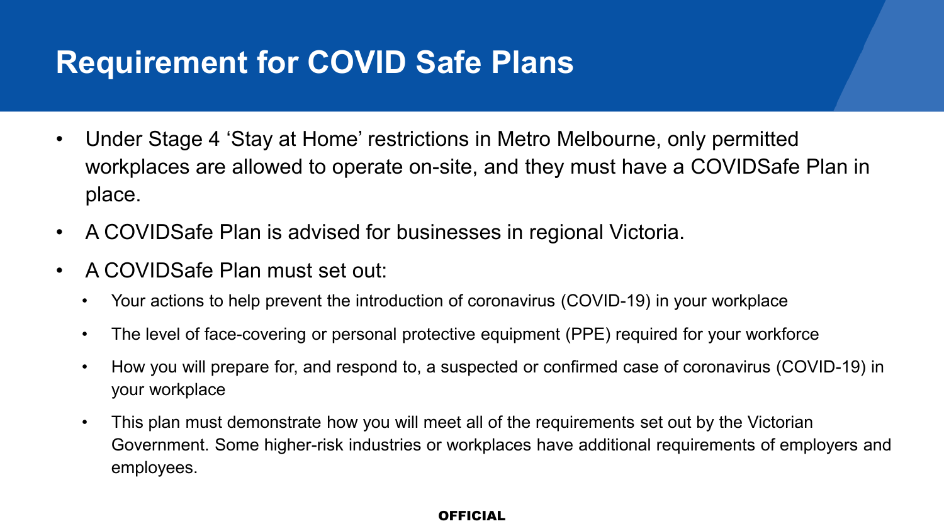## **Requirement for COVID Safe Plans**

- Under Stage 4 'Stay at Home' restrictions in Metro Melbourne, only permitted workplaces are allowed to operate on-site, and they must have a COVIDSafe Plan in place.
- A COVIDSafe Plan is advised for businesses in regional Victoria.
- A COVIDSafe Plan must set out:
	- Your actions to help prevent the introduction of coronavirus (COVID-19) in your workplace
	- The level of face-covering or personal protective equipment (PPE) required for your workforce
	- How you will prepare for, and respond to, a suspected or confirmed case of coronavirus (COVID-19) in your workplace
	- This plan must demonstrate how you will meet all of the requirements set out by the Victorian Government. Some higher-risk industries or workplaces have additional requirements of employers and employees.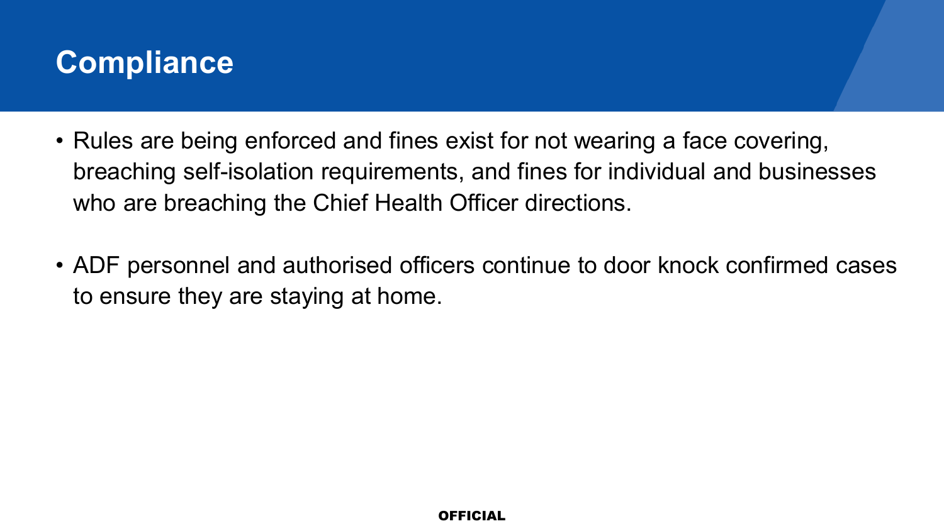

- Rules are being enforced and fines exist for not wearing a face covering, breaching self-isolation requirements, and fines for individual and businesses who are breaching the Chief Health Officer directions.
- ADF personnel and authorised officers continue to door knock confirmed cases to ensure they are staying at home.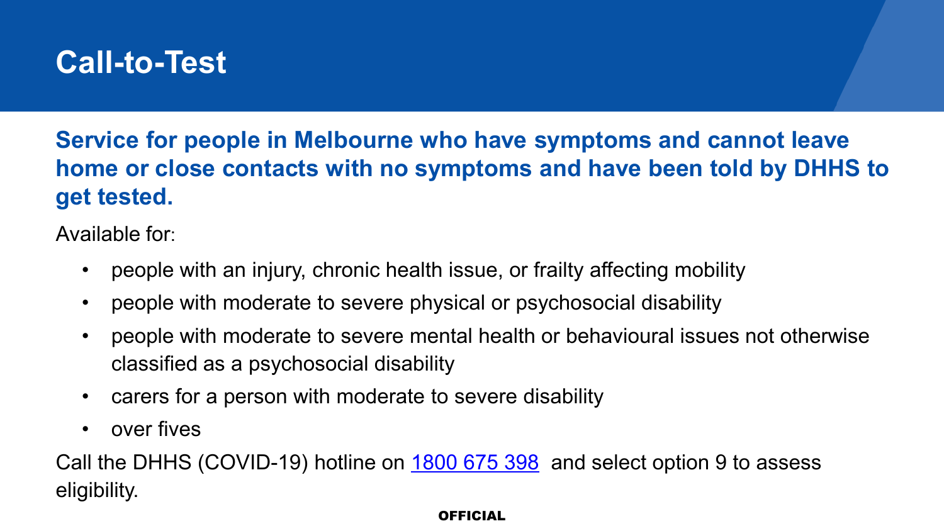### **Call-to-Test**

**Service for people in Melbourne who have symptoms and cannot leave home or close contacts with no symptoms and have been told by DHHS to get tested.**

Available for:

- people with an injury, chronic health issue, or frailty affecting mobility
- people with moderate to severe physical or psychosocial disability
- people with moderate to severe mental health or behavioural issues not otherwise classified as a psychosocial disability
- carers for a person with moderate to severe disability
- over fives

Call the DHHS (COVID-19) hotline on [1800 675 398](tel:1800675398) and select option 9 to assess eligibility.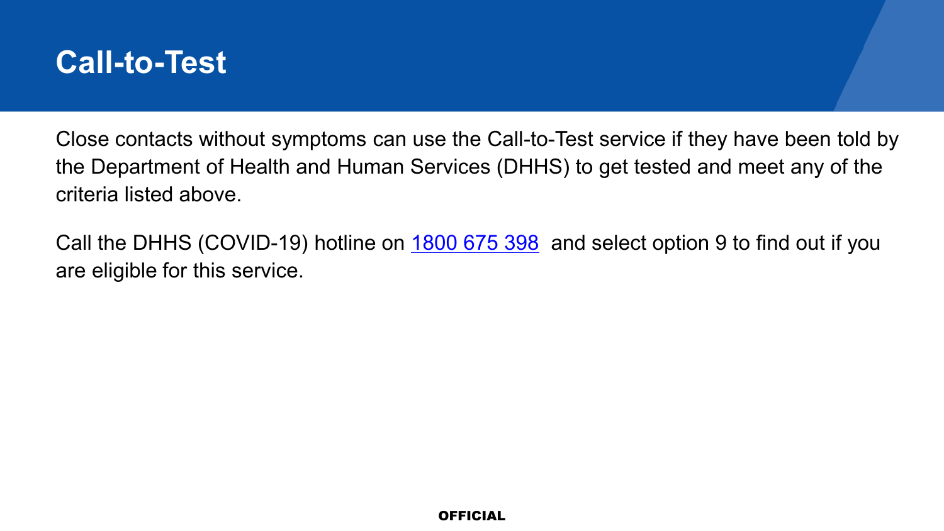

Close contacts without symptoms can use the Call-to-Test service if they have been told by the Department of Health and Human Services (DHHS) to get tested and meet any of the criteria listed above.

Call the DHHS (COVID-19) hotline on **[1800 675 398](tel:1800675398)** and select option 9 to find out if you are eligible for this service.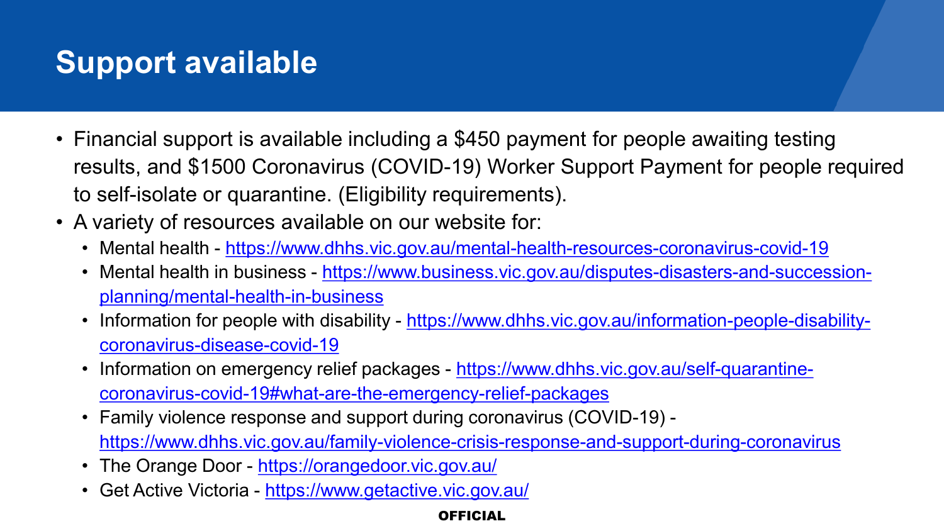## **Support available**

- Financial support is available including a \$450 payment for people awaiting testing results, and \$1500 Coronavirus (COVID-19) Worker Support Payment for people required to self-isolate or quarantine. (Eligibility requirements).
- A variety of resources available on our website for:
	- Mental health <https://www.dhhs.vic.gov.au/mental-health-resources-coronavirus-covid-19>
	- Mental health in business [https://www.business.vic.gov.au/disputes-disasters-and-succession](https://www.business.vic.gov.au/disputes-disasters-and-succession-planning/mental-health-in-business)planning/mental-health-in-business
	- Information for people with disability [https://www.dhhs.vic.gov.au/information-people-disability](https://www.dhhs.vic.gov.au/information-people-disability-coronavirus-disease-covid-19)coronavirus-disease-covid-19
	- Information on emergency relief packages https://www.dhhs.vic.gov.au/self-quarantine[coronavirus-covid-19#what-are-the-emergency-relief-packages](https://www.dhhs.vic.gov.au/self-quarantine-coronavirus-covid-19#what-are-the-emergency-relief-packages)
	- Family violence response and support during coronavirus (COVID-19) <https://www.dhhs.vic.gov.au/family-violence-crisis-response-and-support-during-coronavirus>
	- The Orange Door <https://orangedoor.vic.gov.au/>
	- Get Active Victoria <https://www.getactive.vic.gov.au/>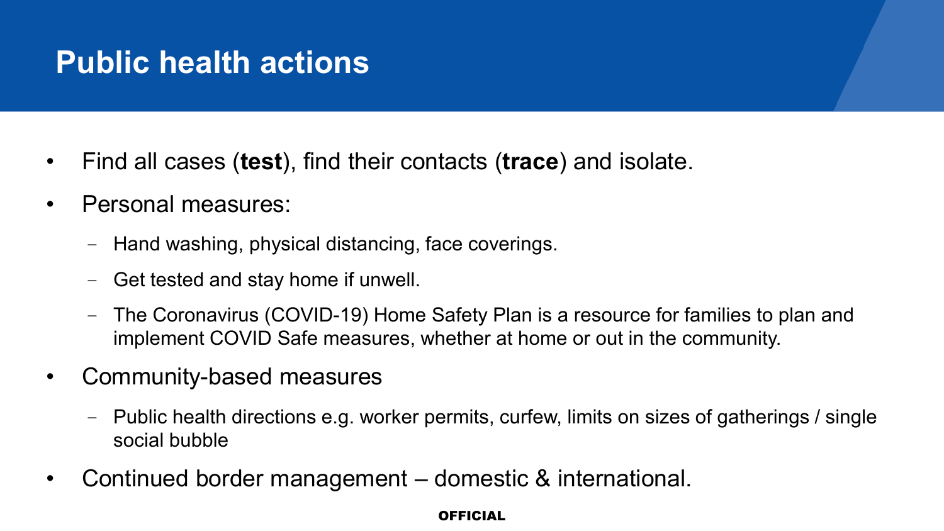## **Public health actions**

- Find all cases (**test**), find their contacts (**trace**) and isolate.
- Personal measures:
	- Hand washing, physical distancing, face coverings.
	- Get tested and stay home if unwell.
	- The Coronavirus (COVID-19) Home Safety Plan is a resource for families to plan and implement COVID Safe measures, whether at home or out in the community.
- Community-based measures
	- Public health directions e.g. worker permits, curfew, limits on sizes of gatherings / single social bubble
- Continued border management domestic & international.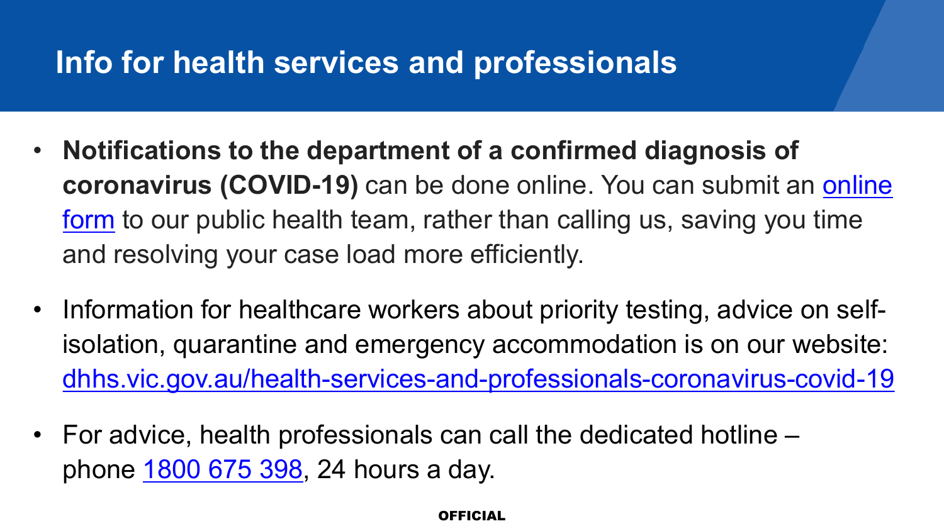## **Info for health services and professionals**

- **Notifications to the department of a confirmed diagnosis of coronavirus (COVID-19)** can be done online. You can submit an online form [to our public health team, rather than calling us, saving you time](https://forms.business.gov.au/smartforms/servlet/SmartForm.html?formCode=novelcoronavirus)  and resolving your case load more efficiently.
- Information for healthcare workers about priority testing, advice on selfisolation, quarantine and emergency accommodation is on our website: [dhhs.vic.gov.au/health-services-and-professionals-coronavirus-covid-19](https://www.dhhs.vic.gov.au/health-services-and-professionals-coronavirus-covid-19)
- For advice, health professionals can call the dedicated hotline phone [1800 675 398](tel:1800675398), 24 hours a day.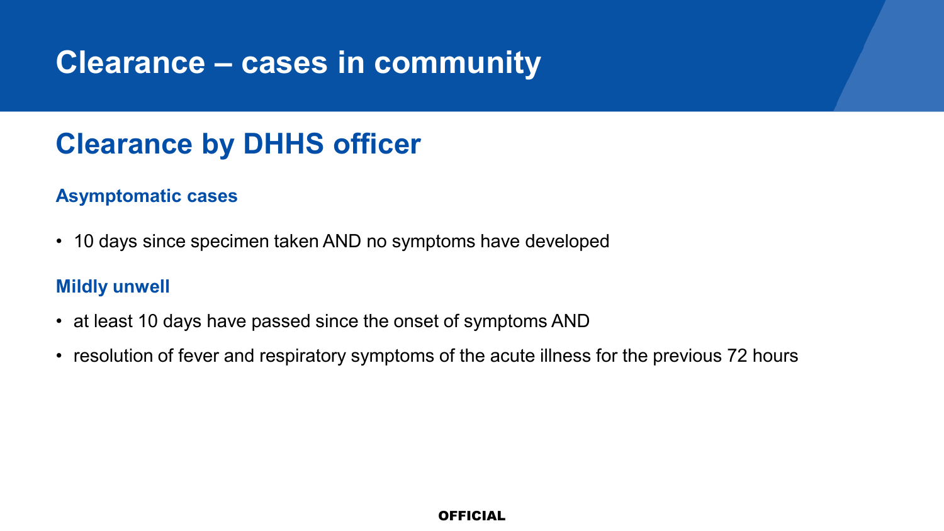### **Clearance – cases in community**

### **Clearance by DHHS officer**

#### **Asymptomatic cases**

• 10 days since specimen taken AND no symptoms have developed

#### **Mildly unwell**

- at least 10 days have passed since the onset of symptoms AND
- resolution of fever and respiratory symptoms of the acute illness for the previous 72 hours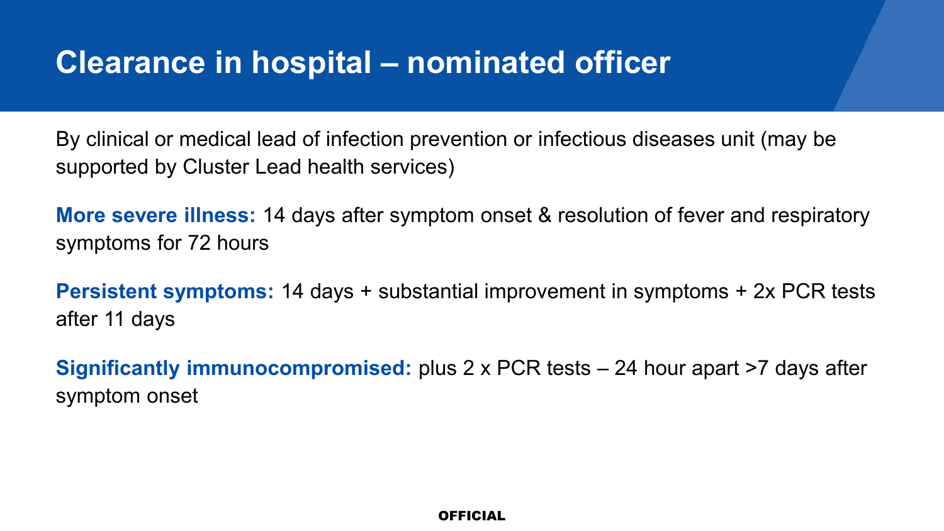### **Clearance in hospital – nominated officer**

By clinical or medical lead of infection prevention or infectious diseases unit (may be supported by Cluster Lead health services)

**More severe illness:** 14 days after symptom onset & resolution of fever and respiratory symptoms for 72 hours

**Persistent symptoms:** 14 days + substantial improvement in symptoms + 2x PCR tests after 11 days

**Significantly immunocompromised:** plus 2 x PCR tests – 24 hour apart >7 days after symptom onset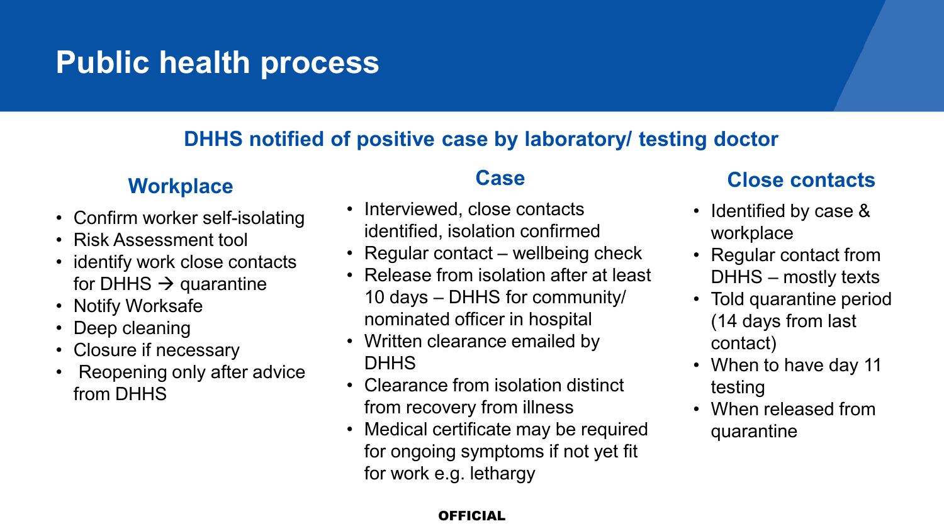## **Public health process**

### **DHHS notified of positive case by laboratory/ testing doctor**

### **Workplace**

- Confirm worker self-isolating
- Risk Assessment tool
- identify work close contacts for DHHS  $\rightarrow$  quarantine
- Notify Worksafe
- Deep cleaning
- Closure if necessary
- Reopening only after advice from DHHS

### **Case**

- Interviewed, close contacts identified, isolation confirmed
- Regular contact wellbeing check
- Release from isolation after at least 10 days – DHHS for community/ nominated officer in hospital
- Written clearance emailed by **DHHS**
- Clearance from isolation distinct from recovery from illness
- Medical certificate may be required for ongoing symptoms if not yet fit for work e.g. lethargy

### **Close contacts**

- Identified by case & workplace
- Regular contact from DHHS – mostly texts
- Told quarantine period (14 days from last contact)
- When to have day 11 testing
- When released from quarantine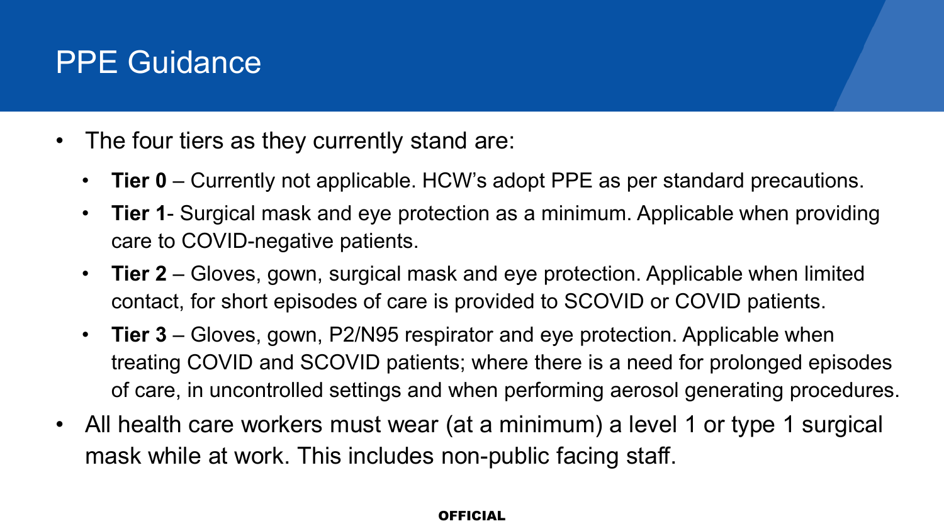### PPE Guidance

- The four tiers as they currently stand are:
	- **Tier 0** Currently not applicable. HCW's adopt PPE as per standard precautions.
	- **Tier 1** Surgical mask and eye protection as a minimum. Applicable when providing care to COVID-negative patients.
	- **Tier 2** Gloves, gown, surgical mask and eye protection. Applicable when limited contact, for short episodes of care is provided to SCOVID or COVID patients.
	- **Tier 3** Gloves, gown, P2/N95 respirator and eye protection. Applicable when treating COVID and SCOVID patients; where there is a need for prolonged episodes of care, in uncontrolled settings and when performing aerosol generating procedures.
- All health care workers must wear (at a minimum) a level 1 or type 1 surgical mask while at work. This includes non-public facing staff.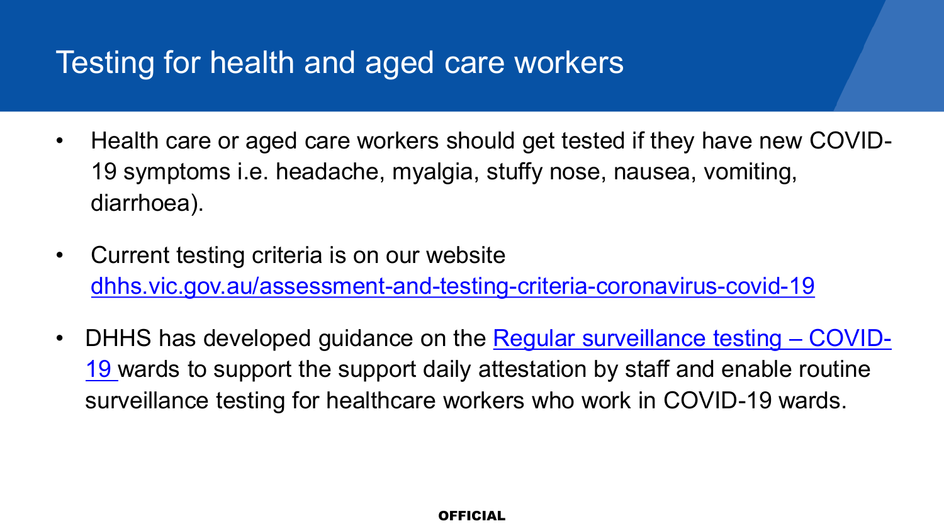### Testing for health and aged care workers

- Health care or aged care workers should get tested if they have new COVID-19 symptoms i.e. headache, myalgia, stuffy nose, nausea, vomiting, diarrhoea).
- Current testing criteria is on our website [dhhs.vic.gov.au/assessment-and-testing-criteria-coronavirus-covid-19](https://www.dhhs.vic.gov.au/assessment-and-testing-criteria-coronavirus-covid-19)
- DHHS has developed guidance on the Regular surveillance testing COVID-19 wards to support the support daily attestation by staff and enable routine surveillance testing for healthcare workers who work in COVID-19 wards.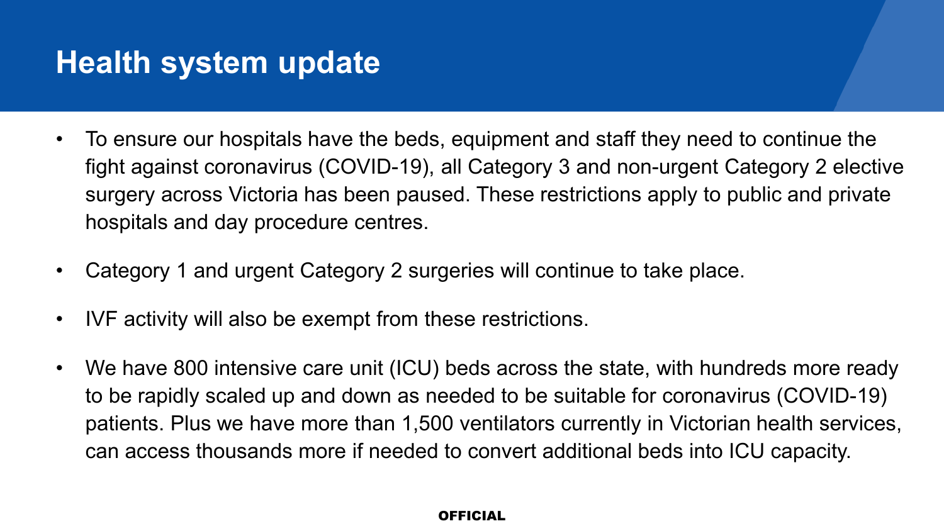### **Health system update**

- To ensure our hospitals have the beds, equipment and staff they need to continue the fight against coronavirus (COVID-19), all Category 3 and non-urgent Category 2 elective surgery across Victoria has been paused. These restrictions apply to public and private hospitals and day procedure centres.
- Category 1 and urgent Category 2 surgeries will continue to take place.
- IVF activity will also be exempt from these restrictions.
- We have 800 intensive care unit (ICU) beds across the state, with hundreds more ready to be rapidly scaled up and down as needed to be suitable for coronavirus (COVID-19) patients. Plus we have more than 1,500 ventilators currently in Victorian health services, can access thousands more if needed to convert additional beds into ICU capacity.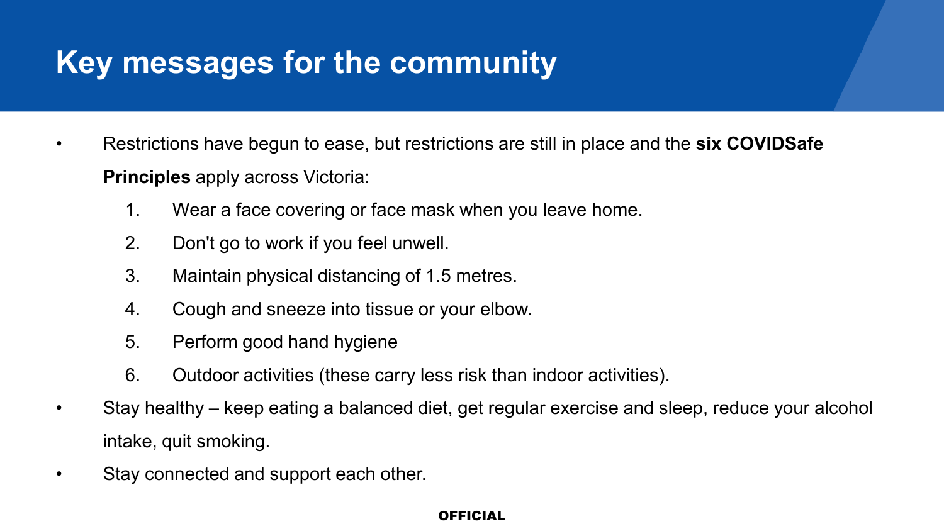## **Key messages for the community**

- Restrictions have begun to ease, but restrictions are still in place and the **six COVIDSafe Principles** apply across Victoria:
	- 1. Wear a face covering or face mask when you leave home.
	- 2. Don't go to work if you feel unwell.
	- 3. Maintain physical distancing of 1.5 metres.
	- 4. Cough and sneeze into tissue or your elbow.
	- 5. Perform good hand hygiene
	- 6. Outdoor activities (these carry less risk than indoor activities).
- Stay healthy keep eating a balanced diet, get regular exercise and sleep, reduce your alcohol intake, quit smoking.
- Stay connected and support each other.